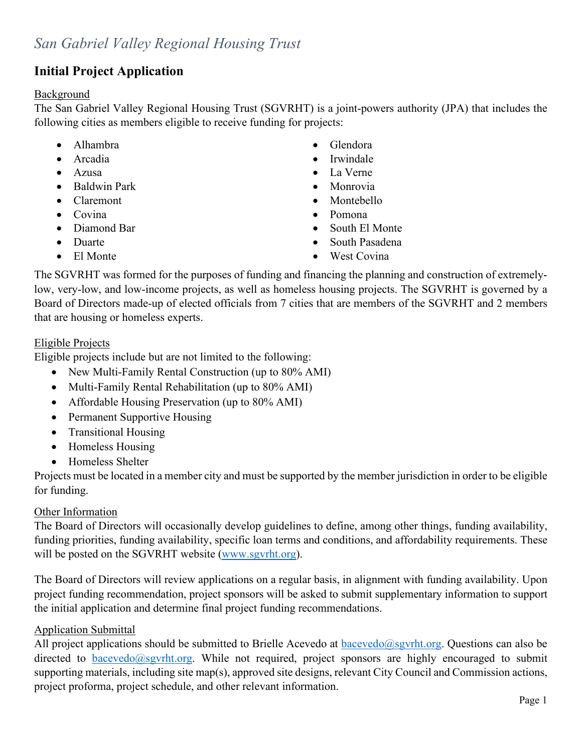### **Initial Project Application**

#### Background

The San Gabriel Valley Regional Housing Trust (SGVRHT) is a joint-powers authority (JPA) that includes the following cities as members eligible to receive funding for projects:

- Alhambra Glendora
- 
- 
- Baldwin Park Monrovia
- Claremont Montebello
- Covina Pomona
- 
- 
- 
- 
- Arcadia Irwindale
- Azusa La Verne
	-
	-
	-
- Diamond Bar South El Monte
- Duarte South Pasadena
- El Monte West Covina

The SGVRHT was formed for the purposes of funding and financing the planning and construction of extremelylow, very-low, and low-income projects, as well as homeless housing projects. The SGVRHT is governed by a Board of Directors made-up of elected officials from 7 cities that are members of the SGVRHT and 2 members that are housing or homeless experts.

### Eligible Projects

Eligible projects include but are not limited to the following:

- New Multi-Family Rental Construction (up to 80% AMI)
- Multi-Family Rental Rehabilitation (up to 80% AMI)
- Affordable Housing Preservation (up to 80% AMI)
- Permanent Supportive Housing
- Transitional Housing
- Homeless Housing
- Homeless Shelter

Projects must be located in a member city and must be supported by the member jurisdiction in order to be eligible for funding.

#### Other Information

The Board of Directors will occasionally develop guidelines to define, among other things, funding availability, funding priorities, funding availability, specific loan terms and conditions, and affordability requirements. These will be posted on the SGVRHT website [\(www.sgvrht.org\)](http://www.sgvrht.org/).

The Board of Directors will review applications on a regular basis, in alignment with funding availability. Upon project funding recommendation, project sponsors will be asked to submit supplementary information to support the initial application and determine final project funding recommendations.

#### Application Submittal

All project applications should be submitted to Brielle Acevedo at **bacevedo@sgvrht.org**. Questions can also be directed to [bacevedo@sgvrht.org.](mailto:bacevedo@sgvrht.org) While not required, project sponsors are highly encouraged to submit supporting materials, including site map(s), approved site designs, relevant City Council and Commission actions, project proforma, project schedule, and other relevant information.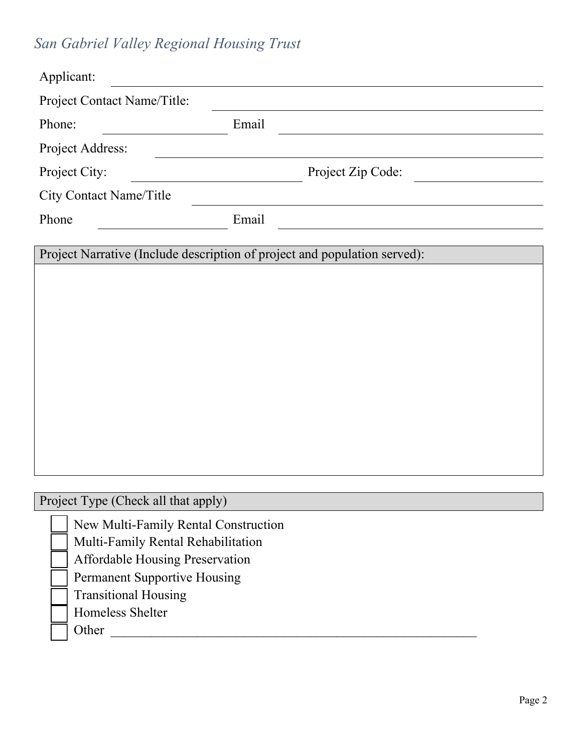# *San Gabriel Valley Regional Housing Trust*

| Applicant:                                                                |                   |  |
|---------------------------------------------------------------------------|-------------------|--|
| Project Contact Name/Title:                                               |                   |  |
| Phone:                                                                    | Email             |  |
| Project Address:                                                          |                   |  |
| Project City:                                                             | Project Zip Code: |  |
| <b>City Contact Name/Title</b>                                            |                   |  |
| Phone                                                                     | Email             |  |
| Project Narrative (Include description of project and population served): |                   |  |
|                                                                           |                   |  |
|                                                                           |                   |  |
|                                                                           |                   |  |
|                                                                           |                   |  |
|                                                                           |                   |  |
|                                                                           |                   |  |
|                                                                           |                   |  |
|                                                                           |                   |  |
|                                                                           |                   |  |
| Project Type (Check all that apply)                                       |                   |  |
|                                                                           |                   |  |
| New Multi-Family Rental Construction                                      |                   |  |
|                                                                           |                   |  |
| Multi-Family Rental Rehabilitation<br>Affordable Housing Preservation     |                   |  |

Permanent Supportive Housing

Transitional Housing

Homeless Shelter

Other \_\_\_\_\_\_\_\_\_\_\_\_\_\_\_\_\_\_\_\_\_\_\_\_\_\_\_\_\_\_\_\_\_\_\_\_\_\_\_\_\_\_\_\_\_\_\_\_\_\_\_\_\_\_\_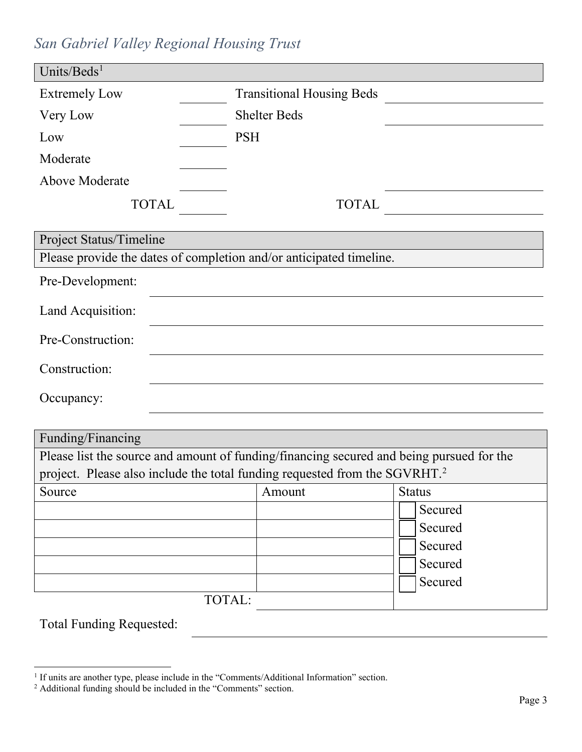## *San Gabriel Valley Regional Housing Trust*

| Units/Beds <sup>1</sup>                                                                                       |                                  |               |
|---------------------------------------------------------------------------------------------------------------|----------------------------------|---------------|
| <b>Extremely Low</b>                                                                                          | <b>Transitional Housing Beds</b> |               |
| Very Low                                                                                                      | <b>Shelter Beds</b>              |               |
| Low                                                                                                           | <b>PSH</b>                       |               |
| Moderate                                                                                                      |                                  |               |
| <b>Above Moderate</b>                                                                                         |                                  |               |
| <b>TOTAL</b>                                                                                                  | <b>TOTAL</b>                     |               |
|                                                                                                               |                                  |               |
| Project Status/Timeline                                                                                       |                                  |               |
| Please provide the dates of completion and/or anticipated timeline.                                           |                                  |               |
| Pre-Development:                                                                                              |                                  |               |
| Land Acquisition:                                                                                             |                                  |               |
| Pre-Construction:                                                                                             |                                  |               |
| Construction:                                                                                                 |                                  |               |
| Occupancy:                                                                                                    |                                  |               |
|                                                                                                               |                                  |               |
| Funding/Financing<br>Please list the source and amount of funding/financing secured and being pursued for the |                                  |               |
| project. Please also include the total funding requested from the SGVRHT. <sup>2</sup>                        |                                  |               |
| Source                                                                                                        | Amount                           | <b>Status</b> |
|                                                                                                               |                                  | Secured       |
|                                                                                                               |                                  | Secured       |
|                                                                                                               |                                  | Secured       |
|                                                                                                               |                                  | Secured       |
|                                                                                                               |                                  | Secured       |
|                                                                                                               | TOTAL:                           |               |
| <b>Total Funding Requested:</b>                                                                               |                                  |               |

<sup>&</sup>lt;sup>1</sup> If units are another type, please include in the "Comments/Additional Information" section.

<span id="page-2-0"></span> $2$  Additional funding should be included in the "Comments" section.